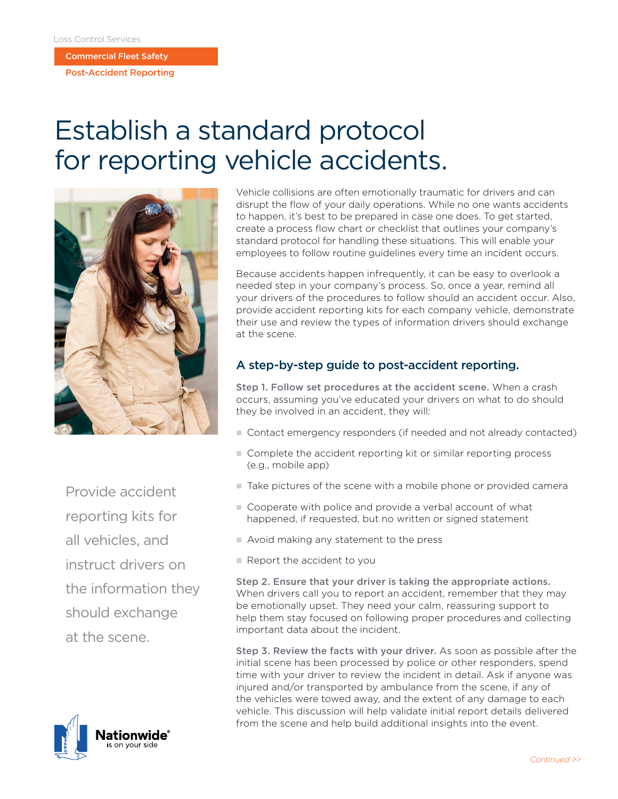Commercial Fleet Safety

Post-Accident Reporting

## Establish a standard protocol for reporting vehicle accidents.



Provide accident reporting kits for all vehicles, and instruct drivers on the information they should exchange at the scene.



Vehicle collisions are often emotionally traumatic for drivers and can disrupt the flow of your daily operations. While no one wants accidents to happen, it's best to be prepared in case one does. To get started, create a process flow chart or checklist that outlines your company's standard protocol for handling these situations. This will enable your employees to follow routine guidelines every time an incident occurs.

Because accidents happen infrequently, it can be easy to overlook a needed step in your company's process. So, once a year, remind all your drivers of the procedures to follow should an accident occur. Also, provide accident reporting kits for each company vehicle, demonstrate their use and review the types of information drivers should exchange at the scene.

## A step-by-step guide to post-accident reporting.

Step 1. Follow set procedures at the accident scene. When a crash occurs, assuming you've educated your drivers on what to do should they be involved in an accident, they will:

- Contact emergency responders (if needed and not already contacted)
- Complete the accident reporting kit or similar reporting process (e.g., mobile app)
- $\blacksquare$  Take pictures of the scene with a mobile phone or provided camera
- Cooperate with police and provide a verbal account of what happened, if requested, but no written or signed statement
- $\blacksquare$  Avoid making any statement to the press
- **Report the accident to you**

Step 2. Ensure that your driver is taking the appropriate actions. When drivers call you to report an accident, remember that they may be emotionally upset. They need your calm, reassuring support to help them stay focused on following proper procedures and collecting important data about the incident.

Step 3. Review the facts with your driver. As soon as possible after the initial scene has been processed by police or other responders, spend time with your driver to review the incident in detail. Ask if anyone was injured and/or transported by ambulance from the scene, if any of the vehicles were towed away, and the extent of any damage to each vehicle. This discussion will help validate initial report details delivered from the scene and help build additional insights into the event.